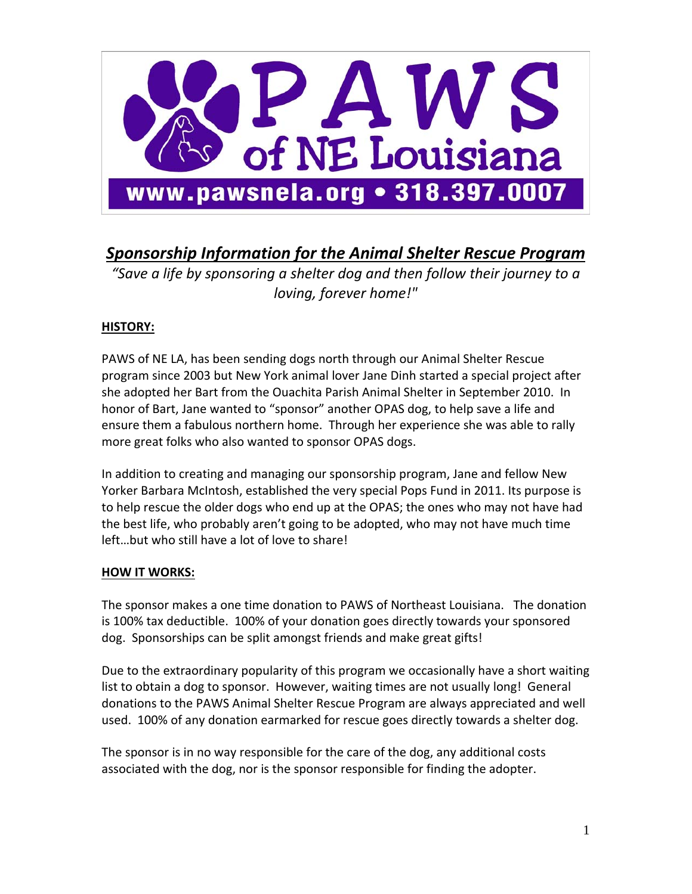

# *Sponsorship Information for the Animal Shelter Rescue Program*

*"Save a life by sponsoring a shelter dog and then follow their journey to a loving, forever home!"*

# **HISTORY:**

PAWS of NE LA, has been sending dogs north through our Animal Shelter Rescue program since 2003 but New York animal lover Jane Dinh started a special project after she adopted her Bart from the Ouachita Parish Animal Shelter in September 2010. In honor of Bart, Jane wanted to "sponsor" another OPAS dog, to help save a life and ensure them a fabulous northern home. Through her experience she was able to rally more great folks who also wanted to sponsor OPAS dogs.

In addition to creating and managing our sponsorship program, Jane and fellow New Yorker Barbara McIntosh, established the very special Pops Fund in 2011. Its purpose is to help rescue the older dogs who end up at the OPAS; the ones who may not have had the best life, who probably aren't going to be adopted, who may not have much time left…but who still have a lot of love to share!

# **HOW IT WORKS:**

The sponsor makes a one time donation to PAWS of Northeast Louisiana. The donation is 100% tax deductible. 100% of your donation goes directly towards your sponsored dog. Sponsorships can be split amongst friends and make great gifts!

Due to the extraordinary popularity of this program we occasionally have a short waiting list to obtain a dog to sponsor. However, waiting times are not usually long! General donations to the PAWS Animal Shelter Rescue Program are always appreciated and well used. 100% of any donation earmarked for rescue goes directly towards a shelter dog.

The sponsor is in no way responsible for the care of the dog, any additional costs associated with the dog, nor is the sponsor responsible for finding the adopter.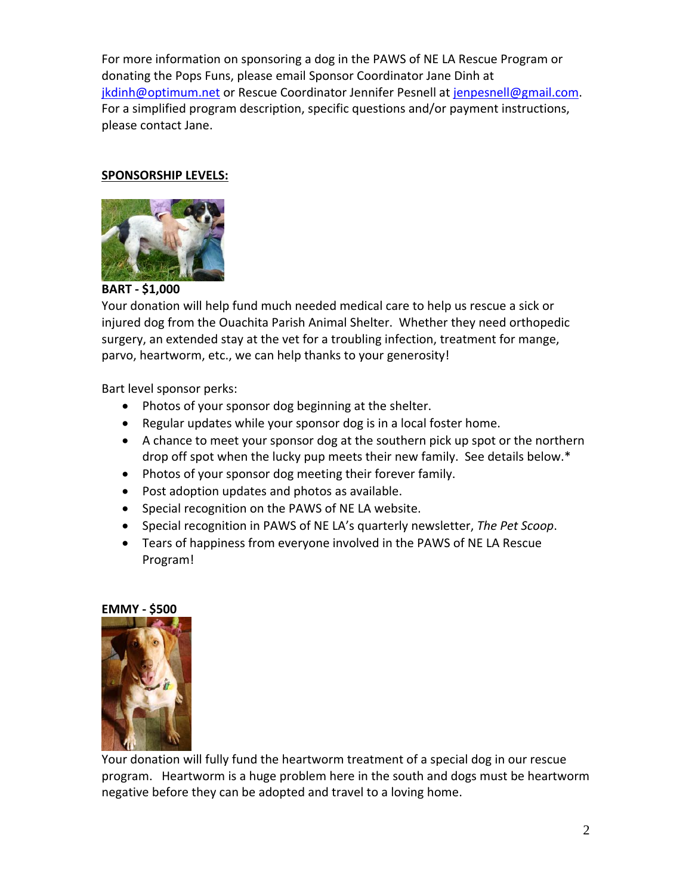For more information on sponsoring a dog in the PAWS of NE LA Rescue Program or donating the Pops Funs, please email Sponsor Coordinator Jane Dinh at jkdinh@optimum.net or Rescue Coordinator Jennifer Pesnell at jenpesnell@gmail.com. For a simplified program description, specific questions and/or payment instructions, please contact Jane.

### **SPONSORSHIP LEVELS:**



**BART ‐ \$1,000**

Your donation will help fund much needed medical care to help us rescue a sick or injured dog from the Ouachita Parish Animal Shelter. Whether they need orthopedic surgery, an extended stay at the vet for a troubling infection, treatment for mange, parvo, heartworm, etc., we can help thanks to your generosity!

Bart level sponsor perks:

- Photos of your sponsor dog beginning at the shelter.
- Regular updates while your sponsor dog is in a local foster home.
- A chance to meet your sponsor dog at the southern pick up spot or the northern drop off spot when the lucky pup meets their new family. See details below.\*
- Photos of your sponsor dog meeting their forever family.
- Post adoption updates and photos as available.
- Special recognition on the PAWS of NE LA website.
- Special recognition in PAWS of NE LA's quarterly newsletter, *The Pet Scoop*.
- Tears of happiness from everyone involved in the PAWS of NE LA Rescue Program!

#### **EMMY ‐ \$500**



Your donation will fully fund the heartworm treatment of a special dog in our rescue program. Heartworm is a huge problem here in the south and dogs must be heartworm negative before they can be adopted and travel to a loving home.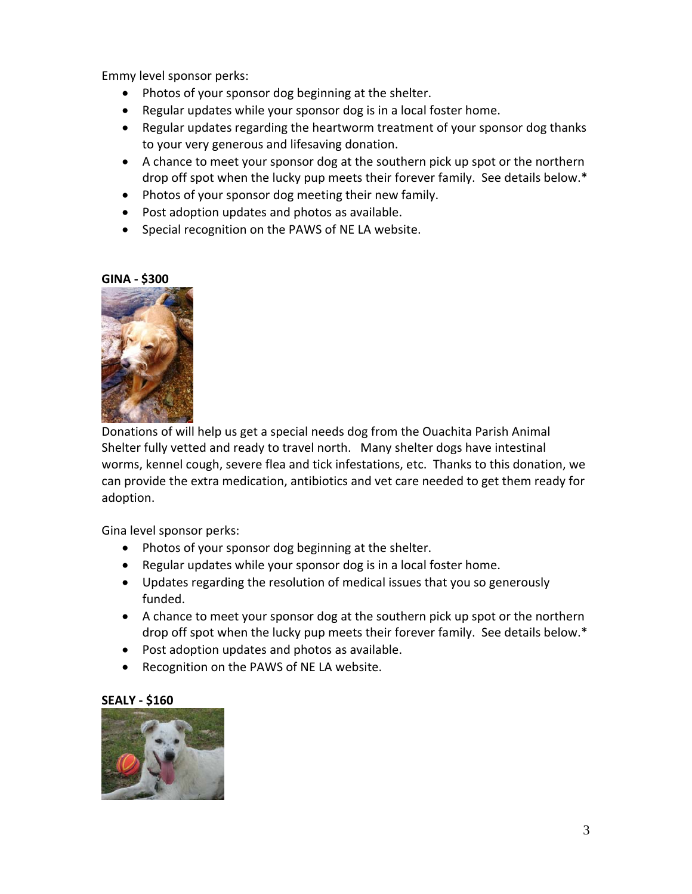Emmy level sponsor perks:

- Photos of your sponsor dog beginning at the shelter.
- Regular updates while your sponsor dog is in a local foster home.
- Regular updates regarding the heartworm treatment of your sponsor dog thanks to your very generous and lifesaving donation.
- A chance to meet your sponsor dog at the southern pick up spot or the northern drop off spot when the lucky pup meets their forever family. See details below.\*
- Photos of your sponsor dog meeting their new family.
- Post adoption updates and photos as available.
- Special recognition on the PAWS of NE LA website.

#### **GINA ‐ \$300**



Donations of will help us get a special needs dog from the Ouachita Parish Animal Shelter fully vetted and ready to travel north. Many shelter dogs have intestinal worms, kennel cough, severe flea and tick infestations, etc. Thanks to this donation, we can provide the extra medication, antibiotics and vet care needed to get them ready for adoption.

Gina level sponsor perks:

- Photos of your sponsor dog beginning at the shelter.
- Regular updates while your sponsor dog is in a local foster home.
- Updates regarding the resolution of medical issues that you so generously funded.
- A chance to meet your sponsor dog at the southern pick up spot or the northern drop off spot when the lucky pup meets their forever family. See details below.\*
- Post adoption updates and photos as available.
- Recognition on the PAWS of NE LA website.

#### **SEALY ‐ \$160**